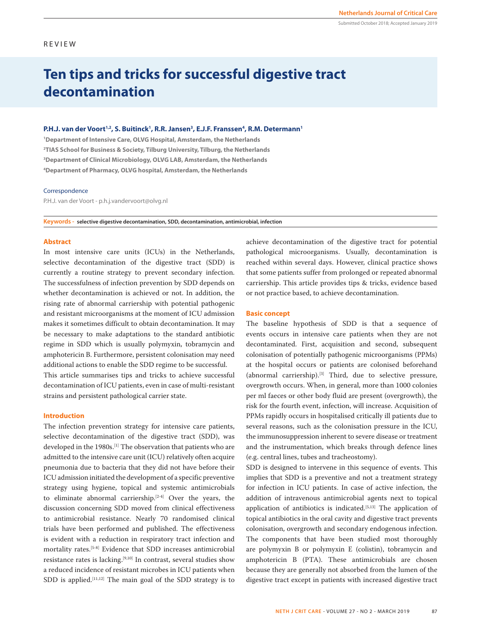Submitted October 2018; Accepted January 2019

# REVIEW

# **Ten tips and tricks for successful digestive tract decontamination**

#### **P.H.J. van der Voort<sup>1,2</sup>, S. Buitinck<sup>1</sup>, R.R. Jansen<sup>3</sup>, E.J.F. Franssen<sup>4</sup>, R.M. Determann<sup>1</sup>**

 **Department of Intensive Care, OLVG Hospital, Amsterdam, the Netherlands TIAS School for Business & Society, Tilburg University, Tilburg, the Netherlands Department of Clinical Microbiology, OLVG LAB, Amsterdam, the Netherlands Department of Pharmacy, OLVG hospital, Amsterdam, the Netherlands**

## Correspondence

P.H.J. van der Voort - p.h.j.vandervoort@olvg.nl

**Keywords - selective digestive decontamination, SDD, decontamination, antimicrobial, infection**

# **Abstract**

In most intensive care units (ICUs) in the Netherlands, selective decontamination of the digestive tract (SDD) is currently a routine strategy to prevent secondary infection. The successfulness of infection prevention by SDD depends on whether decontamination is achieved or not. In addition, the rising rate of abnormal carriership with potential pathogenic and resistant microorganisms at the moment of ICU admission makes it sometimes difficult to obtain decontamination. It may be necessary to make adaptations to the standard antibiotic regime in SDD which is usually polymyxin, tobramycin and amphotericin B. Furthermore, persistent colonisation may need additional actions to enable the SDD regime to be successful.

This article summarises tips and tricks to achieve successful decontamination of ICU patients, even in case of multi-resistant strains and persistent pathological carrier state.

#### **Introduction**

The infection prevention strategy for intensive care patients, selective decontamination of the digestive tract (SDD), was developed in the 1980s.<sup>[1]</sup> The observation that patients who are admitted to the intensive care unit (ICU) relatively often acquire pneumonia due to bacteria that they did not have before their ICU admission initiated the development of a specific preventive strategy using hygiene, topical and systemic antimicrobials to eliminate abnormal carriership.[2-4] Over the years, the discussion concerning SDD moved from clinical effectiveness to antimicrobial resistance. Nearly 70 randomised clinical trials have been performed and published. The effectiveness is evident with a reduction in respiratory tract infection and mortality rates.[5-8] Evidence that SDD increases antimicrobial resistance rates is lacking.[9,10] In contrast, several studies show a reduced incidence of resistant microbes in ICU patients when SDD is applied.<sup>[11,12]</sup> The main goal of the SDD strategy is to achieve decontamination of the digestive tract for potential pathological microorganisms. Usually, decontamination is reached within several days. However, clinical practice shows that some patients suffer from prolonged or repeated abnormal carriership. This article provides tips & tricks, evidence based or not practice based, to achieve decontamination.

# **Basic concept**

The baseline hypothesis of SDD is that a sequence of events occurs in intensive care patients when they are not decontaminated. First, acquisition and second, subsequent colonisation of potentially pathogenic microorganisms (PPMs) at the hospital occurs or patients are colonised beforehand (abnormal carriership).[3] Third, due to selective pressure, overgrowth occurs. When, in general, more than 1000 colonies per ml faeces or other body fluid are present (overgrowth), the risk for the fourth event, infection, will increase. Acquisition of PPMs rapidly occurs in hospitalised critically ill patients due to several reasons, such as the colonisation pressure in the ICU, the immunosuppression inherent to severe disease or treatment and the instrumentation, which breaks through defence lines (e.g. central lines, tubes and tracheostomy).

SDD is designed to intervene in this sequence of events. This implies that SDD is a preventive and not a treatment strategy for infection in ICU patients. In case of active infection, the addition of intravenous antimicrobial agents next to topical application of antibiotics is indicated.<sup>[5,13]</sup> The application of topical antibiotics in the oral cavity and digestive tract prevents colonisation, overgrowth and secondary endogenous infection. The components that have been studied most thoroughly are polymyxin B or polymyxin E (colistin), tobramycin and amphotericin B (PTA). These antimicrobials are chosen because they are generally not absorbed from the lumen of the digestive tract except in patients with increased digestive tract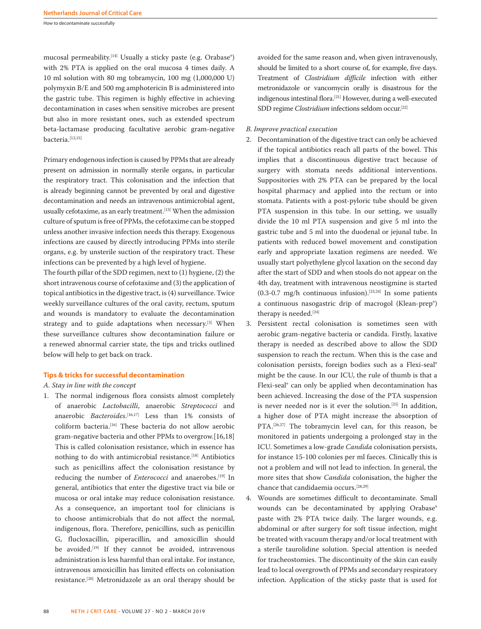How to decontaminate successfully

mucosal permeability.<sup>[14]</sup> Usually a sticky paste (e.g. Orabase<sup>®</sup>) with 2% PTA is applied on the oral mucosa 4 times daily. A 10 ml solution with 80 mg tobramycin, 100 mg (1,000,000 U) polymyxin B/E and 500 mg amphotericin B is administered into the gastric tube. This regimen is highly effective in achieving decontamination in cases when sensitive microbes are present but also in more resistant ones, such as extended spectrum beta-lactamase producing facultative aerobic gram-negative bacteria.[12,15]

Primary endogenous infection is caused by PPMs that are already present on admission in normally sterile organs, in particular the respiratory tract. This colonisation and the infection that is already beginning cannot be prevented by oral and digestive decontamination and needs an intravenous antimicrobial agent, usually cefotaxime, as an early treatment.<sup>[13]</sup> When the admission culture of sputum is free of PPMs, the cefotaxime can be stopped unless another invasive infection needs this therapy. Exogenous infections are caused by directly introducing PPMs into sterile organs, e.g. by unsterile suction of the respiratory tract. These infections can be prevented by a high level of hygiene.

The fourth pillar of the SDD regimen, next to (1) hygiene, (2) the short intravenous course of cefotaxime and (3) the application of topical antibiotics in the digestive tract, is (4) surveillance. Twice weekly surveillance cultures of the oral cavity, rectum, sputum and wounds is mandatory to evaluate the decontamination strategy and to guide adaptations when necessary.<sup>[3]</sup> When these surveillance cultures show decontamination failure or a renewed abnormal carrier state, the tips and tricks outlined below will help to get back on track.

#### **Tips & tricks for successful decontamination**

## *A. Stay in line with the concept*

1. The normal indigenous flora consists almost completely of anaerobic *Lactobacilli*, anaerobic *Streptococci* and anaerobic *Bacteroides*. [16,17] Less than 1% consists of coliform bacteria.[16] These bacteria do not allow aerobic gram-negative bacteria and other PPMs to overgrow.[16,18] This is called colonisation resistance, which in essence has nothing to do with antimicrobial resistance.<sup>[18]</sup> Antibiotics such as penicillins affect the colonisation resistance by reducing the number of *Enterococci* and anaerobes.<sup>[19]</sup> In general, antibiotics that enter the digestive tract via bile or mucosa or oral intake may reduce colonisation resistance. As a consequence, an important tool for clinicians is to choose antimicrobials that do not affect the normal, indigenous, flora. Therefore, penicillins, such as penicillin G, flucloxacillin, piperacillin, and amoxicillin should be avoided.<sup>[19]</sup> If they cannot be avoided, intravenous administration is less harmful than oral intake. For instance, intravenous amoxicillin has limited effects on colonisation resistance.[20] Metronidazole as an oral therapy should be

avoided for the same reason and, when given intravenously, should be limited to a short course of, for example, five days. Treatment of *Clostridium difficile* infection with either metronidazole or vancomycin orally is disastrous for the indigenous intestinal flora.[21] However, during a well-executed SDD regime *Clostridium* infections seldom occur.<sup>[22]</sup>

# *B. Improve practical execution*

- 2. Decontamination of the digestive tract can only be achieved if the topical antibiotics reach all parts of the bowel. This implies that a discontinuous digestive tract because of surgery with stomata needs additional interventions. Suppositories with 2% PTA can be prepared by the local hospital pharmacy and applied into the rectum or into stomata. Patients with a post-pyloric tube should be given PTA suspension in this tube. In our setting, we usually divide the 10 ml PTA suspension and give 5 ml into the gastric tube and 5 ml into the duodenal or jejunal tube. In patients with reduced bowel movement and constipation early and appropriate laxation regimens are needed. We usually start polyethylene glycol laxation on the second day after the start of SDD and when stools do not appear on the 4th day, treatment with intravenous neostigmine is started  $(0.3-0.7 \text{ mg/h}$  continuous infusion).<sup>[23,24]</sup> In some patients a continuous nasogastric drip of macrogol (Klean-prep®) therapy is needed.<sup>[24]</sup>
- 3. Persistent rectal colonisation is sometimes seen with aerobic gram-negative bacteria or candida. Firstly, laxative therapy is needed as described above to allow the SDD suspension to reach the rectum. When this is the case and colonisation persists, foreign bodies such as a Flexi-seal® might be the cause. In our ICU, the rule of thumb is that a Flexi-seal® can only be applied when decontamination has been achieved. Increasing the dose of the PTA suspension is never needed nor is it ever the solution.[25] In addition, a higher dose of PTA might increase the absorption of PTA.<sup>[26,27]</sup> The tobramycin level can, for this reason, be monitored in patients undergoing a prolonged stay in the ICU. Sometimes a low-grade *Candida* colonisation persists, for instance 15-100 colonies per ml faeces. Clinically this is not a problem and will not lead to infection. In general, the more sites that show *Candida* colonisation, the higher the chance that candidaemia occurs.[28,29]
- 4. Wounds are sometimes difficult to decontaminate. Small wounds can be decontaminated by applying Orabase® paste with 2% PTA twice daily. The larger wounds, e.g. abdominal or after surgery for soft tissue infection, might be treated with vacuum therapy and/or local treatment with a sterile taurolidine solution. Special attention is needed for tracheostomies. The discontinuity of the skin can easily lead to local overgrowth of PPMs and secondary respiratory infection. Application of the sticky paste that is used for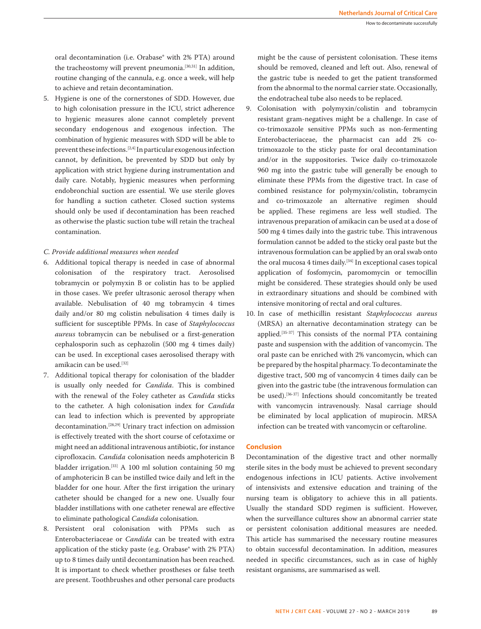oral decontamination (i.e. Orabase® with 2% PTA) around the tracheostomy will prevent pneumonia.<sup>[30,31]</sup> In addition, routine changing of the cannula, e.g. once a week, will help to achieve and retain decontamination.

5. Hygiene is one of the cornerstones of SDD. However, due to high colonisation pressure in the ICU, strict adherence to hygienic measures alone cannot completely prevent secondary endogenous and exogenous infection. The combination of hygienic measures with SDD will be able to prevent these infections.[2,4] In particular exogenous infection cannot, by definition, be prevented by SDD but only by application with strict hygiene during instrumentation and daily care. Notably, hygienic measures when performing endobronchial suction are essential. We use sterile gloves for handling a suction catheter. Closed suction systems should only be used if decontamination has been reached as otherwise the plastic suction tube will retain the tracheal contamination.

# *C. Provide additional measures when needed*

- 6. Additional topical therapy is needed in case of abnormal colonisation of the respiratory tract. Aerosolised tobramycin or polymyxin B or colistin has to be applied in those cases. We prefer ultrasonic aerosol therapy when available. Nebulisation of 40 mg tobramycin 4 times daily and/or 80 mg colistin nebulisation 4 times daily is sufficient for susceptible PPMs. In case of *Staphylococcus aureus* tobramycin can be nebulised or a first-generation cephalosporin such as cephazolin (500 mg 4 times daily) can be used. In exceptional cases aerosolised therapy with amikacin can be used.[32]
- 7. Additional topical therapy for colonisation of the bladder is usually only needed for *Candida*. This is combined with the renewal of the Foley catheter as *Candida* sticks to the catheter. A high colonisation index for *Candida*  can lead to infection which is prevented by appropriate decontamination.[28,29] Urinary tract infection on admission is effectively treated with the short course of cefotaxime or might need an additional intravenous antibiotic, for instance ciprofloxacin. *Candida* colonisation needs amphotericin B bladder irrigation.[33] A 100 ml solution containing 50 mg of amphotericin B can be instilled twice daily and left in the bladder for one hour. After the first irrigation the urinary catheter should be changed for a new one. Usually four bladder instillations with one catheter renewal are effective to eliminate pathological *Candida* colonisation.
- 8. Persistent oral colonisation with PPMs such as Enterobacteriaceae or *Candida* can be treated with extra application of the sticky paste (e.g. Orabase® with 2% PTA) up to 8 times daily until decontamination has been reached. It is important to check whether prostheses or false teeth are present. Toothbrushes and other personal care products

might be the cause of persistent colonisation. These items should be removed, cleaned and left out. Also, renewal of the gastric tube is needed to get the patient transformed from the abnormal to the normal carrier state. Occasionally, the endotracheal tube also needs to be replaced.

- 9. Colonisation with polymyxin/colistin and tobramycin resistant gram-negatives might be a challenge. In case of co-trimoxazole sensitive PPMs such as non-fermenting Enterobacteriaceae, the pharmacist can add 2% cotrimoxazole to the sticky paste for oral decontamination and/or in the suppositories. Twice daily co-trimoxazole 960 mg into the gastric tube will generally be enough to eliminate these PPMs from the digestive tract. In case of combined resistance for polymyxin/colistin, tobramycin and co-trimoxazole an alternative regimen should be applied. These regimens are less well studied. The intravenous preparation of amikacin can be used at a dose of 500 mg 4 times daily into the gastric tube. This intravenous formulation cannot be added to the sticky oral paste but the intravenous formulation can be applied by an oral swab onto the oral mucosa 4 times daily.<sup>[34]</sup> In exceptional cases topical application of fosfomycin, paromomycin or temocillin might be considered. These strategies should only be used in extraordinary situations and should be combined with intensive monitoring of rectal and oral cultures.
- 10. In case of methicillin resistant *Staphylococcus aureus* (MRSA) an alternative decontamination strategy can be applied.[35-37] This consists of the normal PTA containing paste and suspension with the addition of vancomycin. The oral paste can be enriched with 2% vancomycin, which can be prepared by the hospital pharmacy. To decontaminate the digestive tract, 500 mg of vancomycin 4 times daily can be given into the gastric tube (the intravenous formulation can be used).<sup>[36-37]</sup> Infections should concomitantly be treated with vancomycin intravenously. Nasal carriage should be eliminated by local application of mupirocin. MRSA infection can be treated with vancomycin or ceftaroline.

# **Conclusion**

Decontamination of the digestive tract and other normally sterile sites in the body must be achieved to prevent secondary endogenous infections in ICU patients. Active involvement of intensivists and extensive education and training of the nursing team is obligatory to achieve this in all patients. Usually the standard SDD regimen is sufficient. However, when the surveillance cultures show an abnormal carrier state or persistent colonisation additional measures are needed. This article has summarised the necessary routine measures to obtain successful decontamination. In addition, measures needed in specific circumstances, such as in case of highly resistant organisms, are summarised as well.